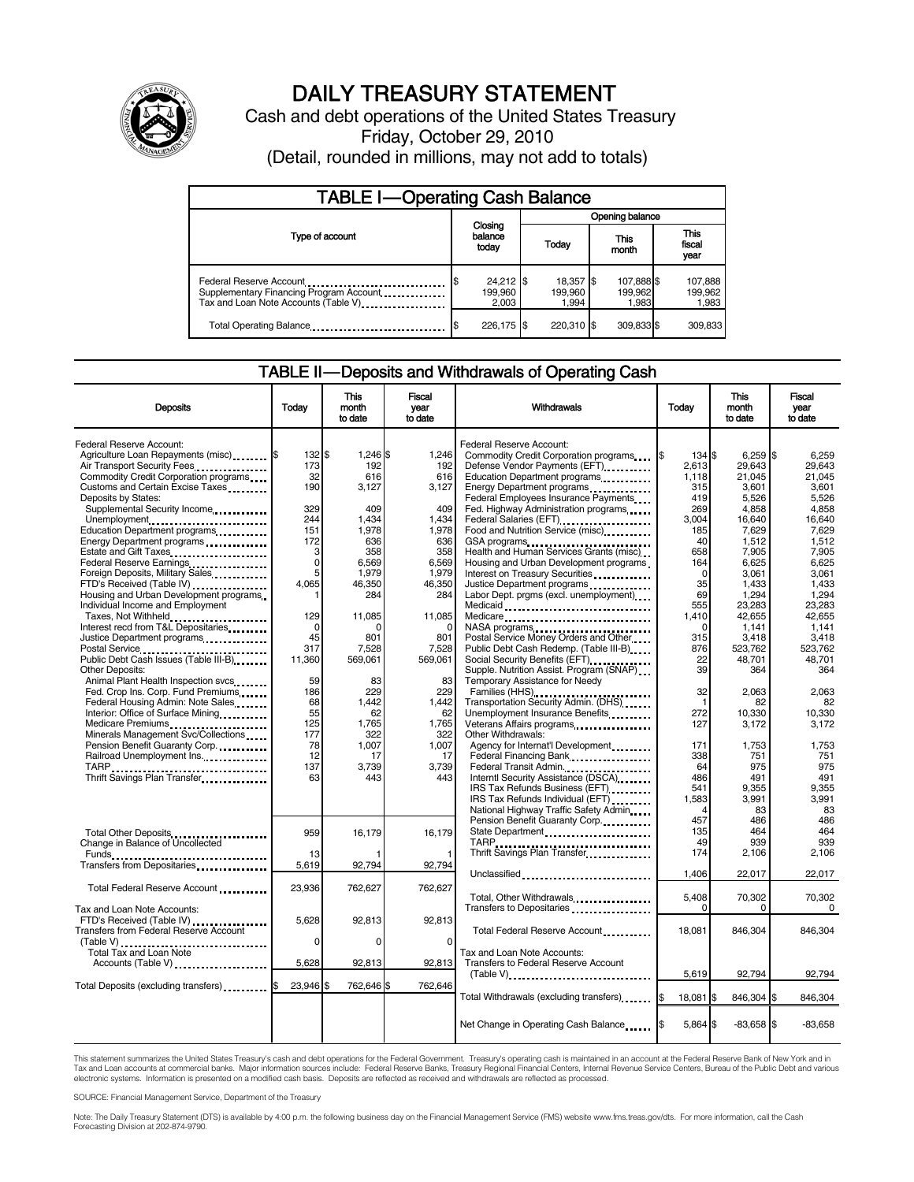

# DAILY TREASURY STATEMENT

Cash and debt operations of the United States Treasury Friday, October 29, 2010 (Detail, rounded in millions, may not add to totals)

| <b>TABLE I-Operating Cash Balance</b>                                                                      |                                 |                               |                                |                               |  |  |  |
|------------------------------------------------------------------------------------------------------------|---------------------------------|-------------------------------|--------------------------------|-------------------------------|--|--|--|
|                                                                                                            | Opening balance                 |                               |                                |                               |  |  |  |
| Type of account                                                                                            | Closing<br>balance<br>today     | Today                         | This<br>month                  | <b>This</b><br>fiscal<br>year |  |  |  |
| Federal Reserve Account<br>Supplementary Financing Program Account<br>Tax and Loan Note Accounts (Table V) | $24,212$ \$<br>199.960<br>2,003 | 18,357 \$<br>199.960<br>1.994 | 107,888 \$<br>199,962<br>1,983 | 107,888<br>199,962<br>1,983   |  |  |  |
| Total Operating Balance                                                                                    | 226.175 \$                      | 220.310 \$                    | 309.833 \$                     | 309,833                       |  |  |  |

## TABLE II-Deposits and Withdrawals of Operating Cash

| Deposits                                                                                                                                                                                                                                                                                                             | Todav                                                       | <b>This</b><br>month<br>to date                                          | Fiscal<br>vear<br>to date                                           | Withdrawals                                                                                                                                                                                                                                                                                        | Todav                                                                             | <b>This</b><br>month<br>to date                                                                | Fiscal<br>vear<br>to date                                                                 |
|----------------------------------------------------------------------------------------------------------------------------------------------------------------------------------------------------------------------------------------------------------------------------------------------------------------------|-------------------------------------------------------------|--------------------------------------------------------------------------|---------------------------------------------------------------------|----------------------------------------------------------------------------------------------------------------------------------------------------------------------------------------------------------------------------------------------------------------------------------------------------|-----------------------------------------------------------------------------------|------------------------------------------------------------------------------------------------|-------------------------------------------------------------------------------------------|
| Federal Reserve Account:<br>Agriculture Loan Repayments (misc) \$<br>Air Transport Security Fees.<br>Commodity Credit Corporation programs<br>Customs and Certain Excise Taxes<br>Deposits by States:<br>Supplemental Security Income<br>Unemployment<br>Education Department programs<br>Energy Department programs | 132 \$<br>173<br>32<br>190<br>329<br>244<br>151<br>172<br>3 | $1,246$ \$<br>192<br>616<br>3,127<br>409<br>1,434<br>1,978<br>636<br>358 | 1,246<br>192<br>616<br>3,127<br>409<br>1.434<br>1.978<br>636<br>358 | Federal Reserve Account:<br>Commodity Credit Corporation programs<br>Defense Vendor Payments (EFT)<br>Education Department programs<br>Federal Employees Insurance Payments<br>Fed. Highway Administration programs<br>Federal Salaries (EFT)<br>Food and Nutrition Service (misc)<br>GSA programs | 134 \$<br>I\$<br>2.613<br>1,118<br>315<br>419<br>269<br>3.004<br>185<br>40<br>658 | $6,259$ \$<br>29.643<br>21,045<br>3,601<br>5,526<br>4,858<br>16.640<br>7,629<br>1,512<br>7,905 | 6,259<br>29.643<br>21,045<br>3.601<br>5,526<br>4,858<br>16.640<br>7.629<br>1.512<br>7,905 |
| Estate and Gift Taxes<br>Federal Reserve Earnings<br>Foreign Deposits, Military Sales<br>FTD's Received (Table IV)<br>Housing and Urban Development programs.<br>Individual Income and Employment<br>Taxes, Not Withheld<br>Interest recd from T&L Depositaries<br>Justice Department programs                       | 0<br>5<br>4,065<br>129<br>$\Omega$<br>45                    | 6,569<br>1.979<br>46,350<br>284<br>11,085<br>n<br>801                    | 6,569<br>1.979<br>46,350<br>284<br>11,085<br>$\Omega$<br>801        | Health and Human Services Grants (misc)<br>Housing and Urban Development programs<br>Interest on Treasury Securities<br>Justice Department programs<br>Labor Dept. prgms (excl. unemployment)<br>Medicaid<br>Medicare<br>NASA programs<br>Postal Service Money Orders and Other                    | 164<br>$\Omega$<br>35<br>69<br>555<br>1,410<br>$\Omega$<br>315                    | 6,625<br>3,061<br>1,433<br>1,294<br>23,283<br>42,655<br>1.141<br>3,418                         | 6,625<br>3.061<br>1,433<br>1,294<br>23,283<br>42,655<br>1.141<br>3.418                    |
| Public Debt Cash Issues (Table III-B)<br>Other Deposits:<br>Animal Plant Health Inspection svcs.<br>Fed. Crop Ins. Corp. Fund Premiums<br>Federal Housing Admin: Note Sales<br>Interior: Office of Surface Mining<br>Medicare Premiums                                                                               | 317<br>11,360<br>59<br>186<br>68<br>55<br>125               | 7,528<br>569,061<br>83<br>229<br>1,442<br>62<br>1,765                    | 7,528<br>569,061<br>83<br>229<br>1,442<br>62<br>1,765               | Public Debt Cash Redemp. (Table III-B)<br>Social Security Benefits (EFT)<br>Supple. Nutrition Assist. Program (SNAP)<br>Temporary Assistance for Needy<br>Families (HHS)<br>Transportation Security Admin. (DHS)<br>Unemployment Insurance Benefits<br>Veterans Affairs programs                   | 876<br>22<br>39<br>32<br>272<br>127                                               | 523,762<br>48,701<br>364<br>2,063<br>82<br>10,330<br>3,172                                     | 523,762<br>48,701<br>364<br>2,063<br>82<br>10.330<br>3.172                                |
| Minerals Management Svc/Collections<br>Pension Benefit Guaranty Corp.<br>Railroad Unemployment Ins.<br>TARP<br>Thrift Savings Plan Transfer                                                                                                                                                                          | 177<br>78<br>12<br>137<br>63                                | 322<br>1,007<br>17<br>3,739<br>443                                       | 322<br>1.007<br>17<br>3,739<br>443                                  | Other Withdrawals:<br>Agency for Internat'l Development<br>Federal Financing Bank<br>Federal Transit Admin.<br>Interntl Security Assistance (DSCA)<br>IRS Tax Refunds Business (EFT)<br>IRS Tax Refunds Individual (EFT)<br>National Highway Traffic Safety Admin                                  | 171<br>338<br>64<br>486<br>541<br>1,583                                           | 1,753<br>751<br>975<br>491<br>9,355<br>3,991<br>83                                             | 1.753<br>751<br>975<br>491<br>9.355<br>3,991<br>83                                        |
| Total Other Deposits<br>Change in Balance of Uncollected<br>Transfers from Depositaries                                                                                                                                                                                                                              | 959<br>13<br>5,619                                          | 16,179<br>92,794                                                         | 16,179<br>92,794                                                    | Pension Benefit Guaranty Corp.<br>State Department<br>Thrift Savings Plan Transfer<br>Unclassified                                                                                                                                                                                                 | 457<br>135<br>49<br>174<br>1,406                                                  | 486<br>464<br>939<br>2,106<br>22,017                                                           | 486<br>464<br>939<br>2.106<br>22,017                                                      |
| Total Federal Reserve Account<br>Tax and Loan Note Accounts:                                                                                                                                                                                                                                                         | 23,936                                                      | 762,627                                                                  | 762,627                                                             | Total, Other Withdrawals<br>Transfers to Depositaries                                                                                                                                                                                                                                              | 5.408<br>$\Omega$                                                                 | 70.302<br>$\Omega$                                                                             | 70.302<br>0                                                                               |
| FTD's Received (Table IV)<br>Transfers from Federal Reserve Account<br>(Table V)<br>Total Tax and Loan Note                                                                                                                                                                                                          | 5,628<br>$\mathbf 0$                                        | 92,813<br>$\Omega$                                                       | 92,813<br>0                                                         | Total Federal Reserve Account<br>Tax and Loan Note Accounts:                                                                                                                                                                                                                                       | 18,081                                                                            | 846,304                                                                                        | 846,304                                                                                   |
| Accounts (Table V)<br>Total Deposits (excluding transfers) [65]                                                                                                                                                                                                                                                      | 5,628<br>23,946 \$                                          | 92,813<br>762,646 \$                                                     | 92,813<br>762,646                                                   | Transfers to Federal Reserve Account<br>$(Table V)$                                                                                                                                                                                                                                                | 5,619                                                                             | 92,794                                                                                         | 92,794                                                                                    |
|                                                                                                                                                                                                                                                                                                                      |                                                             |                                                                          |                                                                     | Total Withdrawals (excluding transfers)<br>Net Change in Operating Cash Balance                                                                                                                                                                                                                    | 18,081 \$<br>5,864 \$                                                             | 846,304 \$<br>$-83,658$ \$                                                                     | 846.304<br>$-83,658$                                                                      |

This statement summarizes the United States Treasury's cash and debt operations for the Federal Government. Treasury's operating cash is maintained in an account at the Federal Reserve Bank of New York and in<br>Tax and Loan electronic systems. Information is presented on a modified cash basis. Deposits are reflected as received and withdrawals are reflected as processed.

SOURCE: Financial Management Service, Department of the Treasury

Note: The Daily Treasury Statement (DTS) is available by 4:00 p.m. the following business day on the Financial Management Service (FMS) website www.fms.treas.gov/dts. For more information, call the Cash<br>Forecasting Divisio